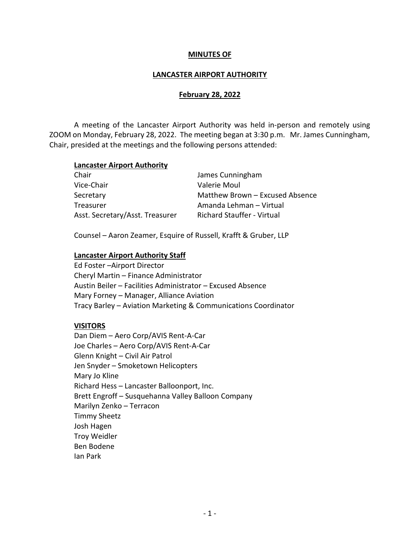### MINUTES OF

### LANCASTER AIRPORT AUTHORITY

### February 28, 2022

 A meeting of the Lancaster Airport Authority was held in-person and remotely using ZOOM on Monday, February 28, 2022. The meeting began at 3:30 p.m. Mr. James Cunningham, Chair, presided at the meetings and the following persons attended:

#### Lancaster Airport Authority

| James Cunningham                  |
|-----------------------------------|
| Valerie Moul                      |
| Matthew Brown - Excused Absence   |
| Amanda Lehman - Virtual           |
| <b>Richard Stauffer - Virtual</b> |
|                                   |

Counsel – Aaron Zeamer, Esquire of Russell, Krafft & Gruber, LLP

#### Lancaster Airport Authority Staff

Ed Foster –Airport Director Cheryl Martin – Finance Administrator Austin Beiler – Facilities Administrator – Excused Absence Mary Forney – Manager, Alliance Aviation Tracy Barley – Aviation Marketing & Communications Coordinator

#### VISITORS

 Dan Diem – Aero Corp/AVIS Rent-A-Car Joe Charles – Aero Corp/AVIS Rent-A-Car Glenn Knight – Civil Air Patrol Jen Snyder – Smoketown Helicopters Mary Jo Kline Richard Hess – Lancaster Balloonport, Inc. Brett Engroff – Susquehanna Valley Balloon Company Marilyn Zenko – Terracon Timmy Sheetz Josh Hagen Troy Weidler Ben Bodene Ian Park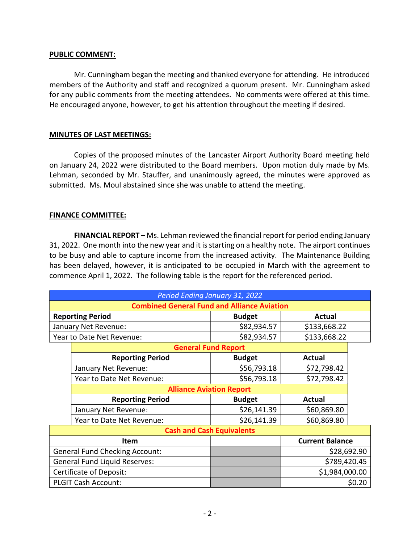### PUBLIC COMMENT:

 Mr. Cunningham began the meeting and thanked everyone for attending. He introduced members of the Authority and staff and recognized a quorum present. Mr. Cunningham asked for any public comments from the meeting attendees. No comments were offered at this time. He encouraged anyone, however, to get his attention throughout the meeting if desired.

# MINUTES OF LAST MEETINGS:

 Copies of the proposed minutes of the Lancaster Airport Authority Board meeting held on January 24, 2022 were distributed to the Board members. Upon motion duly made by Ms. Lehman, seconded by Mr. Stauffer, and unanimously agreed, the minutes were approved as submitted. Ms. Moul abstained since she was unable to attend the meeting.

### FINANCE COMMITTEE:

FINANCIAL REPORT – Ms. Lehman reviewed the financial report for period ending January 31, 2022. One month into the new year and it is starting on a healthy note. The airport continues to be busy and able to capture income from the increased activity. The Maintenance Building has been delayed, however, it is anticipated to be occupied in March with the agreement to commence April 1, 2022. The following table is the report for the referenced period.

| Period Ending January 31, 2022                     |                            |               |                        |             |  |
|----------------------------------------------------|----------------------------|---------------|------------------------|-------------|--|
| <b>Combined General Fund and Alliance Aviation</b> |                            |               |                        |             |  |
| <b>Reporting Period</b>                            |                            | <b>Budget</b> | <b>Actual</b>          |             |  |
| January Net Revenue:                               |                            | \$82,934.57   | \$133,668.22           |             |  |
| Year to Date Net Revenue:                          |                            | \$82,934.57   | \$133,668.22           |             |  |
|                                                    | <b>General Fund Report</b> |               |                        |             |  |
|                                                    | <b>Reporting Period</b>    | <b>Budget</b> | <b>Actual</b>          |             |  |
|                                                    | January Net Revenue:       | \$56,793.18   | \$72,798.42            |             |  |
|                                                    | Year to Date Net Revenue:  | \$56,793.18   | \$72,798.42            |             |  |
| <b>Alliance Aviation Report</b>                    |                            |               |                        |             |  |
|                                                    | <b>Reporting Period</b>    | <b>Budget</b> | <b>Actual</b>          |             |  |
|                                                    | January Net Revenue:       | \$26,141.39   | \$60,869.80            |             |  |
|                                                    | Year to Date Net Revenue:  | \$26,141.39   | \$60,869.80            |             |  |
| <b>Cash and Cash Equivalents</b>                   |                            |               |                        |             |  |
| Item                                               |                            |               | <b>Current Balance</b> |             |  |
| <b>General Fund Checking Account:</b>              |                            |               |                        | \$28,692.90 |  |
| <b>General Fund Liquid Reserves:</b>               |                            |               | \$789,420.45           |             |  |
| Certificate of Deposit:                            |                            |               | \$1,984,000.00         |             |  |
| <b>PLGIT Cash Account:</b>                         |                            |               |                        | \$0.20      |  |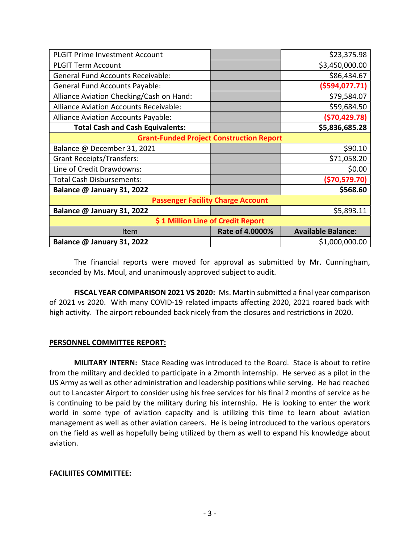| <b>PLGIT Prime Investment Account</b>           |                 | \$23,375.98               |  |  |  |
|-------------------------------------------------|-----------------|---------------------------|--|--|--|
| <b>PLGIT Term Account</b>                       |                 | \$3,450,000.00            |  |  |  |
| <b>General Fund Accounts Receivable:</b>        |                 | \$86,434.67               |  |  |  |
| <b>General Fund Accounts Payable:</b>           |                 | ( \$594, 077.71)          |  |  |  |
| Alliance Aviation Checking/Cash on Hand:        |                 | \$79,584.07               |  |  |  |
| <b>Alliance Aviation Accounts Receivable:</b>   |                 | \$59,684.50               |  |  |  |
| Alliance Aviation Accounts Payable:             |                 | ( \$70,429.78)            |  |  |  |
| <b>Total Cash and Cash Equivalents:</b>         |                 | \$5,836,685.28            |  |  |  |
| <b>Grant-Funded Project Construction Report</b> |                 |                           |  |  |  |
| Balance @ December 31, 2021                     |                 | \$90.10                   |  |  |  |
| <b>Grant Receipts/Transfers:</b>                |                 | \$71,058.20               |  |  |  |
| Line of Credit Drawdowns:                       |                 | \$0.00                    |  |  |  |
| <b>Total Cash Disbursements:</b>                |                 | ( \$70,579.70)            |  |  |  |
| Balance @ January 31, 2022                      |                 | \$568.60                  |  |  |  |
| <b>Passenger Facility Charge Account</b>        |                 |                           |  |  |  |
| Balance @ January 31, 2022                      |                 | \$5,893.11                |  |  |  |
| \$1 Million Line of Credit Report               |                 |                           |  |  |  |
| Item                                            | Rate of 4.0000% | <b>Available Balance:</b> |  |  |  |
| Balance @ January 31, 2022                      |                 | \$1,000,000.00            |  |  |  |

The financial reports were moved for approval as submitted by Mr. Cunningham, seconded by Ms. Moul, and unanimously approved subject to audit.

FISCAL YEAR COMPARISON 2021 VS 2020: Ms. Martin submitted a final year comparison of 2021 vs 2020. With many COVID-19 related impacts affecting 2020, 2021 roared back with high activity. The airport rebounded back nicely from the closures and restrictions in 2020.

# PERSONNEL COMMITTEE REPORT:

MILITARY INTERN: Stace Reading was introduced to the Board. Stace is about to retire from the military and decided to participate in a 2month internship. He served as a pilot in the US Army as well as other administration and leadership positions while serving. He had reached out to Lancaster Airport to consider using his free services for his final 2 months of service as he is continuing to be paid by the military during his internship. He is looking to enter the work world in some type of aviation capacity and is utilizing this time to learn about aviation management as well as other aviation careers. He is being introduced to the various operators on the field as well as hopefully being utilized by them as well to expand his knowledge about aviation.

# FACILIITES COMMITTEE: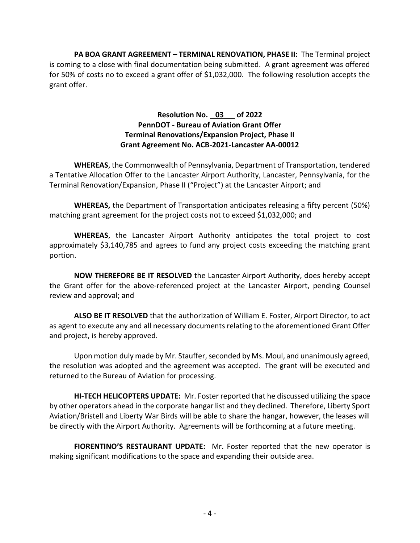PA BOA GRANT AGREEMENT - TERMINAL RENOVATION, PHASE II: The Terminal project is coming to a close with final documentation being submitted. A grant agreement was offered for 50% of costs no to exceed a grant offer of \$1,032,000. The following resolution accepts the grant offer.

# Resolution No. 03 of 2022 PennDOT - Bureau of Aviation Grant Offer Terminal Renovations/Expansion Project, Phase II Grant Agreement No. ACB-2021-Lancaster AA-00012

WHEREAS, the Commonwealth of Pennsylvania, Department of Transportation, tendered a Tentative Allocation Offer to the Lancaster Airport Authority, Lancaster, Pennsylvania, for the Terminal Renovation/Expansion, Phase II ("Project") at the Lancaster Airport; and

WHEREAS, the Department of Transportation anticipates releasing a fifty percent (50%) matching grant agreement for the project costs not to exceed \$1,032,000; and

WHEREAS, the Lancaster Airport Authority anticipates the total project to cost approximately \$3,140,785 and agrees to fund any project costs exceeding the matching grant portion.

 NOW THEREFORE BE IT RESOLVED the Lancaster Airport Authority, does hereby accept the Grant offer for the above-referenced project at the Lancaster Airport, pending Counsel review and approval; and

ALSO BE IT RESOLVED that the authorization of William E. Foster, Airport Director, to act as agent to execute any and all necessary documents relating to the aforementioned Grant Offer and project, is hereby approved.

 Upon motion duly made by Mr. Stauffer, seconded by Ms. Moul, and unanimously agreed, the resolution was adopted and the agreement was accepted. The grant will be executed and returned to the Bureau of Aviation for processing.

HI-TECH HELICOPTERS UPDATE: Mr. Foster reported that he discussed utilizing the space by other operators ahead in the corporate hangar list and they declined. Therefore, Liberty Sport Aviation/Bristell and Liberty War Birds will be able to share the hangar, however, the leases will be directly with the Airport Authority. Agreements will be forthcoming at a future meeting.

FIORENTINO'S RESTAURANT UPDATE: Mr. Foster reported that the new operator is making significant modifications to the space and expanding their outside area.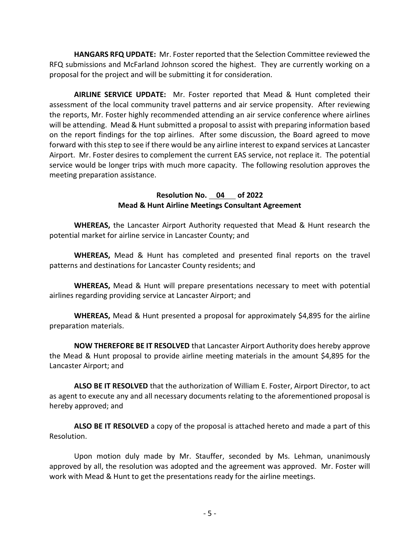HANGARS RFQ UPDATE: Mr. Foster reported that the Selection Committee reviewed the RFQ submissions and McFarland Johnson scored the highest. They are currently working on a proposal for the project and will be submitting it for consideration.

AIRLINE SERVICE UPDATE: Mr. Foster reported that Mead & Hunt completed their assessment of the local community travel patterns and air service propensity. After reviewing the reports, Mr. Foster highly recommended attending an air service conference where airlines will be attending. Mead & Hunt submitted a proposal to assist with preparing information based on the report findings for the top airlines. After some discussion, the Board agreed to move forward with this step to see if there would be any airline interest to expand services at Lancaster Airport. Mr. Foster desires to complement the current EAS service, not replace it. The potential service would be longer trips with much more capacity. The following resolution approves the meeting preparation assistance.

# Resolution No. 04 of 2022 Mead & Hunt Airline Meetings Consultant Agreement

WHEREAS, the Lancaster Airport Authority requested that Mead & Hunt research the potential market for airline service in Lancaster County; and

WHEREAS, Mead & Hunt has completed and presented final reports on the travel patterns and destinations for Lancaster County residents; and

WHEREAS, Mead & Hunt will prepare presentations necessary to meet with potential airlines regarding providing service at Lancaster Airport; and

WHEREAS, Mead & Hunt presented a proposal for approximately \$4,895 for the airline preparation materials.

NOW THEREFORE BE IT RESOLVED that Lancaster Airport Authority does hereby approve the Mead & Hunt proposal to provide airline meeting materials in the amount \$4,895 for the Lancaster Airport; and

ALSO BE IT RESOLVED that the authorization of William E. Foster, Airport Director, to act as agent to execute any and all necessary documents relating to the aforementioned proposal is hereby approved; and

ALSO BE IT RESOLVED a copy of the proposal is attached hereto and made a part of this Resolution.

Upon motion duly made by Mr. Stauffer, seconded by Ms. Lehman, unanimously approved by all, the resolution was adopted and the agreement was approved. Mr. Foster will work with Mead & Hunt to get the presentations ready for the airline meetings.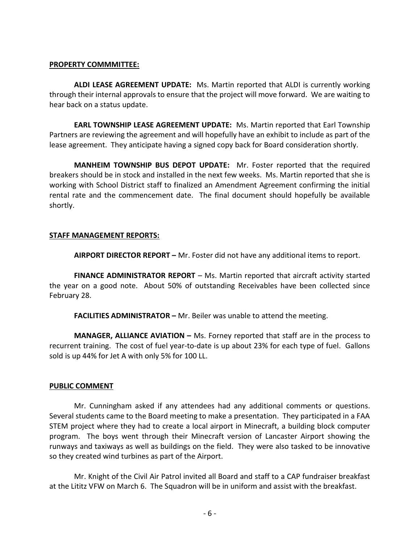### PROPERTY COMMMITTEE:

ALDI LEASE AGREEMENT UPDATE: Ms. Martin reported that ALDI is currently working through their internal approvals to ensure that the project will move forward. We are waiting to hear back on a status update.

EARL TOWNSHIP LEASE AGREEMENT UPDATE: Ms. Martin reported that Earl Township Partners are reviewing the agreement and will hopefully have an exhibit to include as part of the lease agreement. They anticipate having a signed copy back for Board consideration shortly.

MANHEIM TOWNSHIP BUS DEPOT UPDATE: Mr. Foster reported that the required breakers should be in stock and installed in the next few weeks. Ms. Martin reported that she is working with School District staff to finalized an Amendment Agreement confirming the initial rental rate and the commencement date. The final document should hopefully be available shortly.

# STAFF MANAGEMENT REPORTS:

AIRPORT DIRECTOR REPORT - Mr. Foster did not have any additional items to report.

FINANCE ADMINISTRATOR REPORT – Ms. Martin reported that aircraft activity started the year on a good note. About 50% of outstanding Receivables have been collected since February 28.

FACILITIES ADMINISTRATOR – Mr. Beiler was unable to attend the meeting.

MANAGER, ALLIANCE AVIATION - Ms. Forney reported that staff are in the process to recurrent training. The cost of fuel year-to-date is up about 23% for each type of fuel. Gallons sold is up 44% for Jet A with only 5% for 100 LL.

# PUBLIC COMMENT

 Mr. Cunningham asked if any attendees had any additional comments or questions. Several students came to the Board meeting to make a presentation. They participated in a FAA STEM project where they had to create a local airport in Minecraft, a building block computer program. The boys went through their Minecraft version of Lancaster Airport showing the runways and taxiways as well as buildings on the field. They were also tasked to be innovative so they created wind turbines as part of the Airport.

Mr. Knight of the Civil Air Patrol invited all Board and staff to a CAP fundraiser breakfast at the Lititz VFW on March 6. The Squadron will be in uniform and assist with the breakfast.